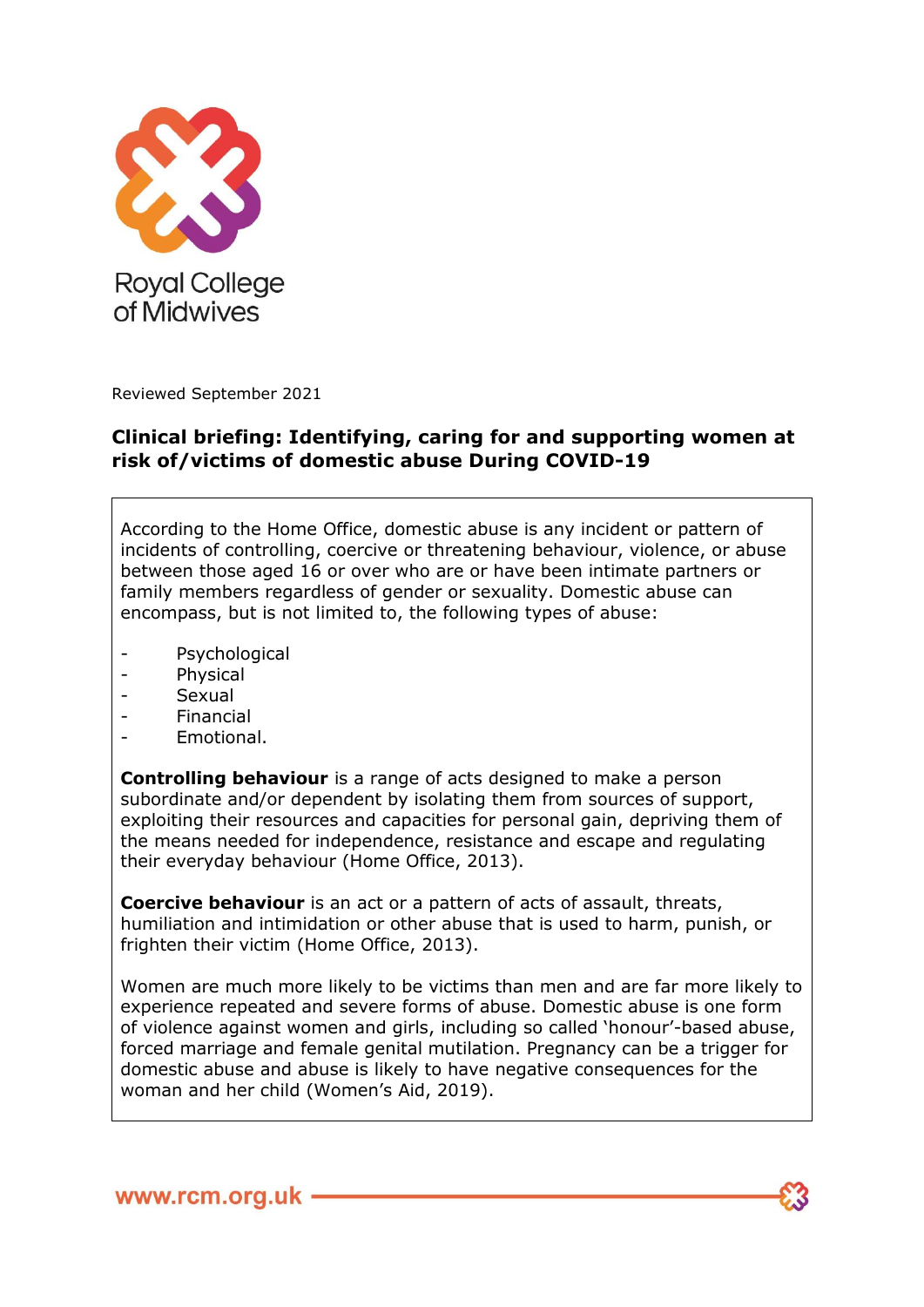

Reviewed September 2021

#### **Clinical briefing: Identifying, caring for and supporting women at risk of/victims of domestic abuse During COVID-19**

According to the Home Office, domestic abuse is any incident or pattern of incidents of controlling, coercive or threatening behaviour, violence, or abuse between those aged 16 or over who are or have been intimate partners or family members regardless of gender or sexuality. Domestic abuse can encompass, but is not limited to, the following types of abuse:

- Psychological
- Physical
- Sexual
- Financial
- Emotional.

**Controlling behaviour** is a range of acts designed to make a person subordinate and/or dependent by isolating them from sources of support, exploiting their resources and capacities for personal gain, depriving them of the means needed for independence, resistance and escape and regulating their everyday behaviour (Home Office, 2013).

**Coercive behaviour** is an act or a pattern of acts of assault, threats, humiliation and intimidation or other abuse that is used to harm, punish, or frighten their victim (Home Office, 2013).

Women are much more likely to be victims than men and are far more likely to experience repeated and severe forms of abuse. Domestic abuse is one form of violence against women and girls, including so called 'honour'-based abuse, forced marriage and female genital mutilation. Pregnancy can be a trigger for domestic abuse and abuse is likely to have negative consequences for the woman and her child (Women's Aid, 2019).

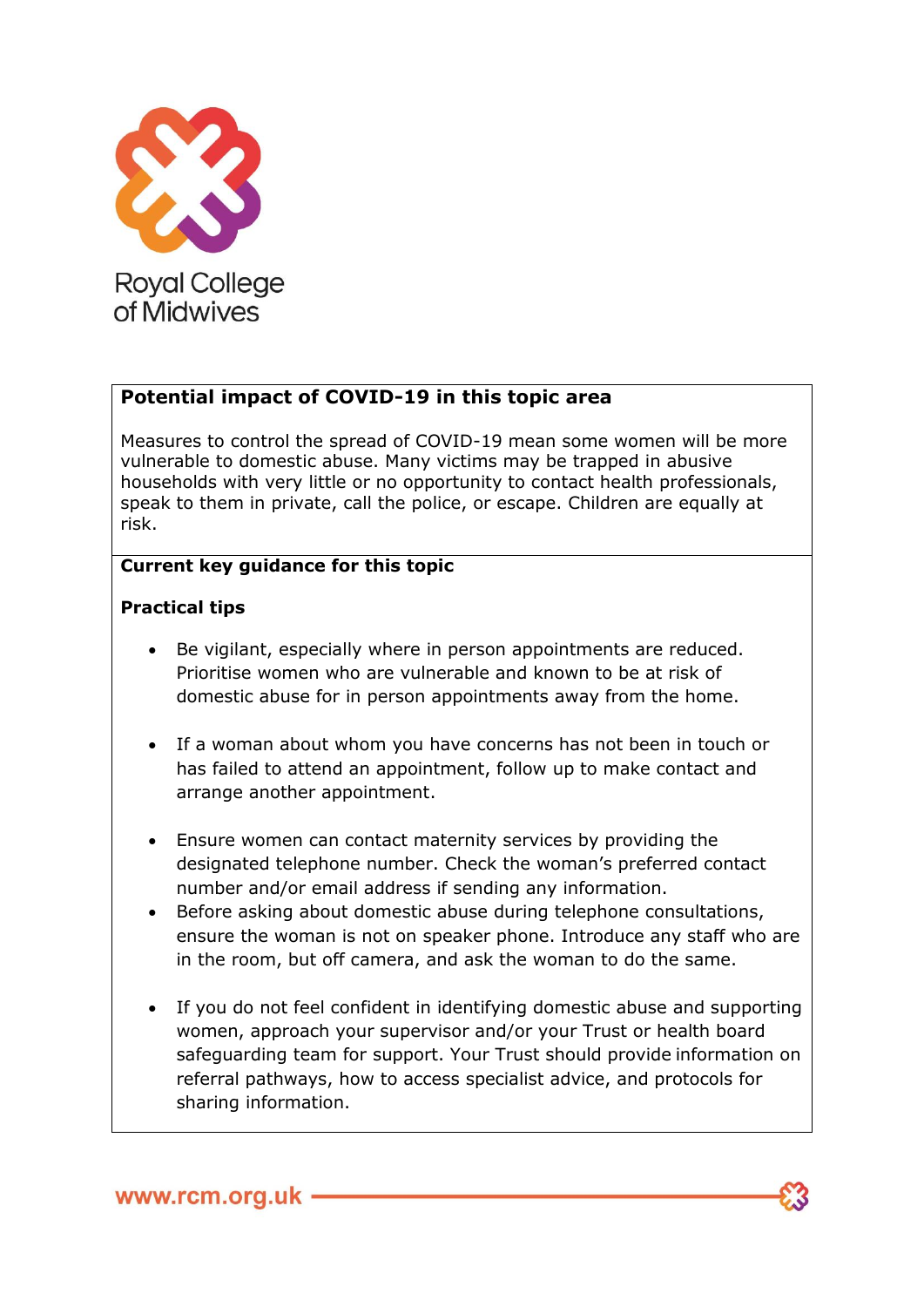

# **Potential impact of COVID-19 in this topic area**

Measures to control the spread of COVID-19 mean some women will be more vulnerable to domestic abuse. Many victims may be trapped in abusive households with very little or no opportunity to contact health professionals, speak to them in private, call the police, or escape. Children are equally at risk.

## **Current key guidance for this topic**

## **Practical tips**

- Be vigilant, especially where in person appointments are reduced. Prioritise women who are vulnerable and known to be at risk of domestic abuse for in person appointments away from the home.
- If a woman about whom you have concerns has not been in touch or has failed to attend an appointment, follow up to make contact and arrange another appointment.
- Ensure women can contact maternity services by providing the designated telephone number. Check the woman's preferred contact number and/or email address if sending any information.
- Before asking about domestic abuse during telephone consultations, ensure the woman is not on speaker phone. Introduce any staff who are in the room, but off camera, and ask the woman to do the same.
- If you do not feel confident in identifying domestic abuse and supporting women, approach your supervisor and/or your Trust or health board safeguarding team for support. Your Trust should provide information on referral pathways, how to access specialist advice, and protocols for sharing information.

www.rcm.org.uk -

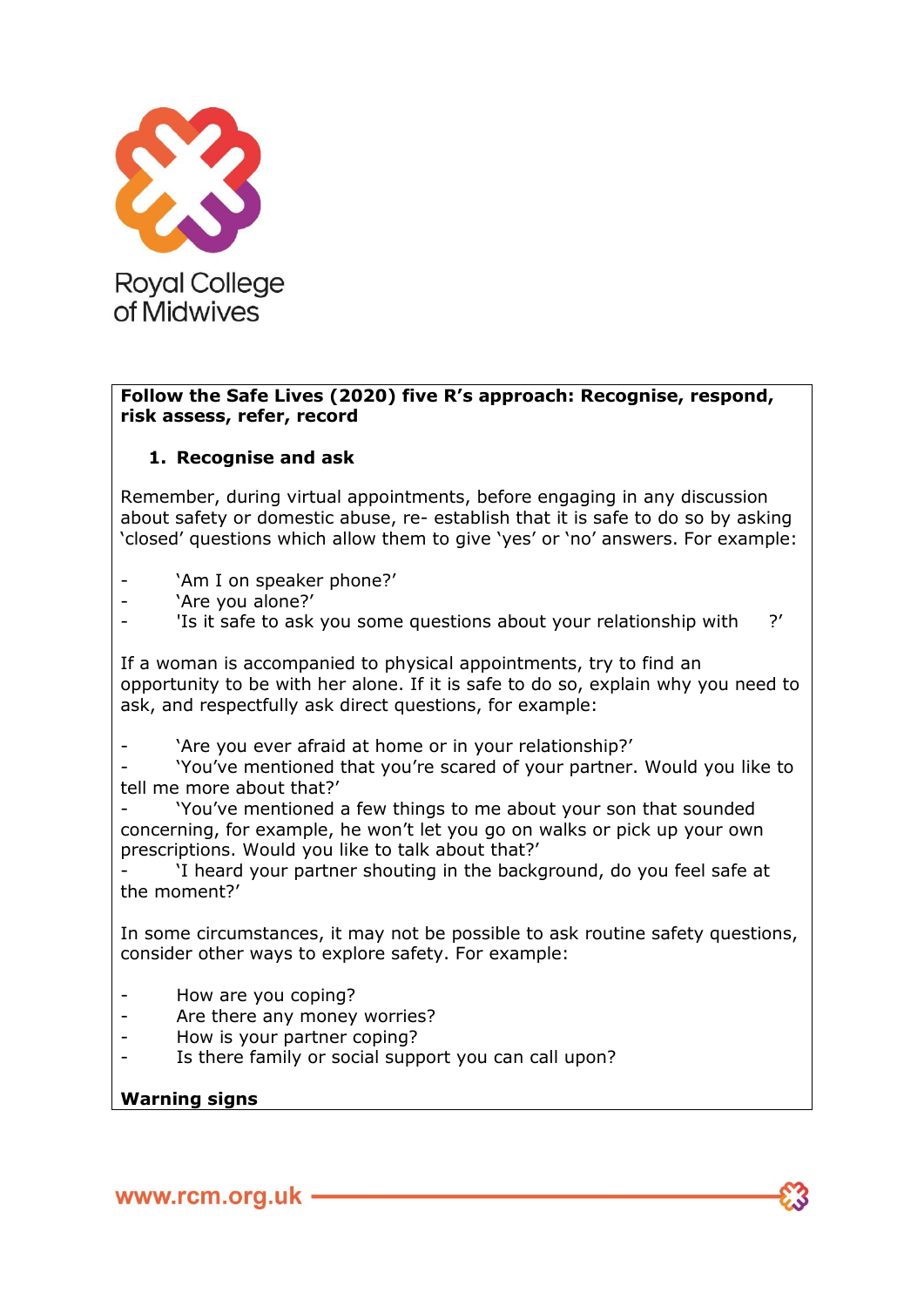

#### **Follow the Safe Lives (2020) five R's approach: Recognise, respond, risk assess, refer, record**

## **1. Recognise and ask**

Remember, during virtual appointments, before engaging in any discussion about safety or domestic abuse, re- establish that it is safe to do so by asking 'closed' questions which allow them to give 'yes' or 'no' answers. For example:

- 'Am I on speaker phone?'
- 'Are you alone?'
- 'Is it safe to ask you some questions about your relationship with ?'

If a woman is accompanied to physical appointments, try to find an opportunity to be with her alone. If it is safe to do so, explain why you need to ask, and respectfully ask direct questions, for example:

'Are you ever afraid at home or in your relationship?'

- 'You've mentioned that you're scared of your partner. Would you like to tell me more about that?'

'You've mentioned a few things to me about your son that sounded concerning, for example, he won't let you go on walks or pick up your own prescriptions. Would you like to talk about that?'

'I heard your partner shouting in the background, do you feel safe at the moment?'

In some circumstances, it may not be possible to ask routine safety questions, consider other ways to explore safety. For example:

- How are you coping?
- Are there any money worries?
- How is your partner coping?
- Is there family or social support you can call upon?

#### **Warning signs**

www.rcm.org.uk -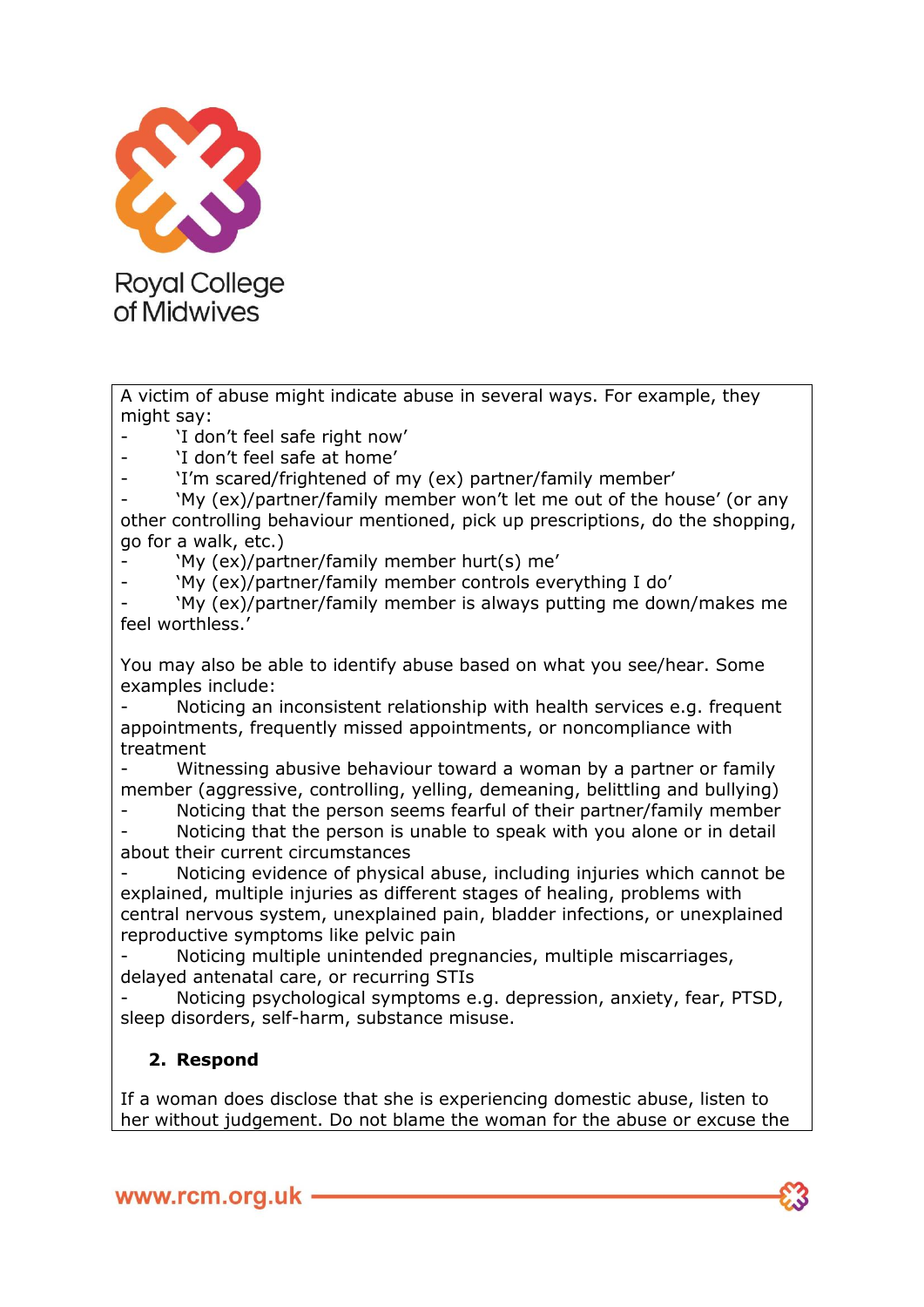

A victim of abuse might indicate abuse in several ways. For example, they might say:

'I don't feel safe right now'

'I don't feel safe at home'

- 'I'm scared/frightened of my (ex) partner/family member'

'My (ex)/partner/family member won't let me out of the house' (or any other controlling behaviour mentioned, pick up prescriptions, do the shopping, go for a walk, etc.)

- 'My (ex)/partner/family member hurt(s) me'

- 'My (ex)/partner/family member controls everything I do'

- 'My (ex)/partner/family member is always putting me down/makes me feel worthless.'

You may also be able to identify abuse based on what you see/hear. Some examples include:

Noticing an inconsistent relationship with health services e.g. frequent appointments, frequently missed appointments, or noncompliance with treatment

Witnessing abusive behaviour toward a woman by a partner or family member (aggressive, controlling, yelling, demeaning, belittling and bullying)

- Noticing that the person seems fearful of their partner/family member

Noticing that the person is unable to speak with you alone or in detail about their current circumstances

Noticing evidence of physical abuse, including injuries which cannot be explained, multiple injuries as different stages of healing, problems with central nervous system, unexplained pain, bladder infections, or unexplained reproductive symptoms like pelvic pain

Noticing multiple unintended pregnancies, multiple miscarriages, delayed antenatal care, or recurring STIs

Noticing psychological symptoms e.g. depression, anxiety, fear, PTSD, sleep disorders, self-harm, substance misuse.

# **2. Respond**

If a woman does disclose that she is experiencing domestic abuse, listen to her without judgement. Do not blame the woman for the abuse or excuse the

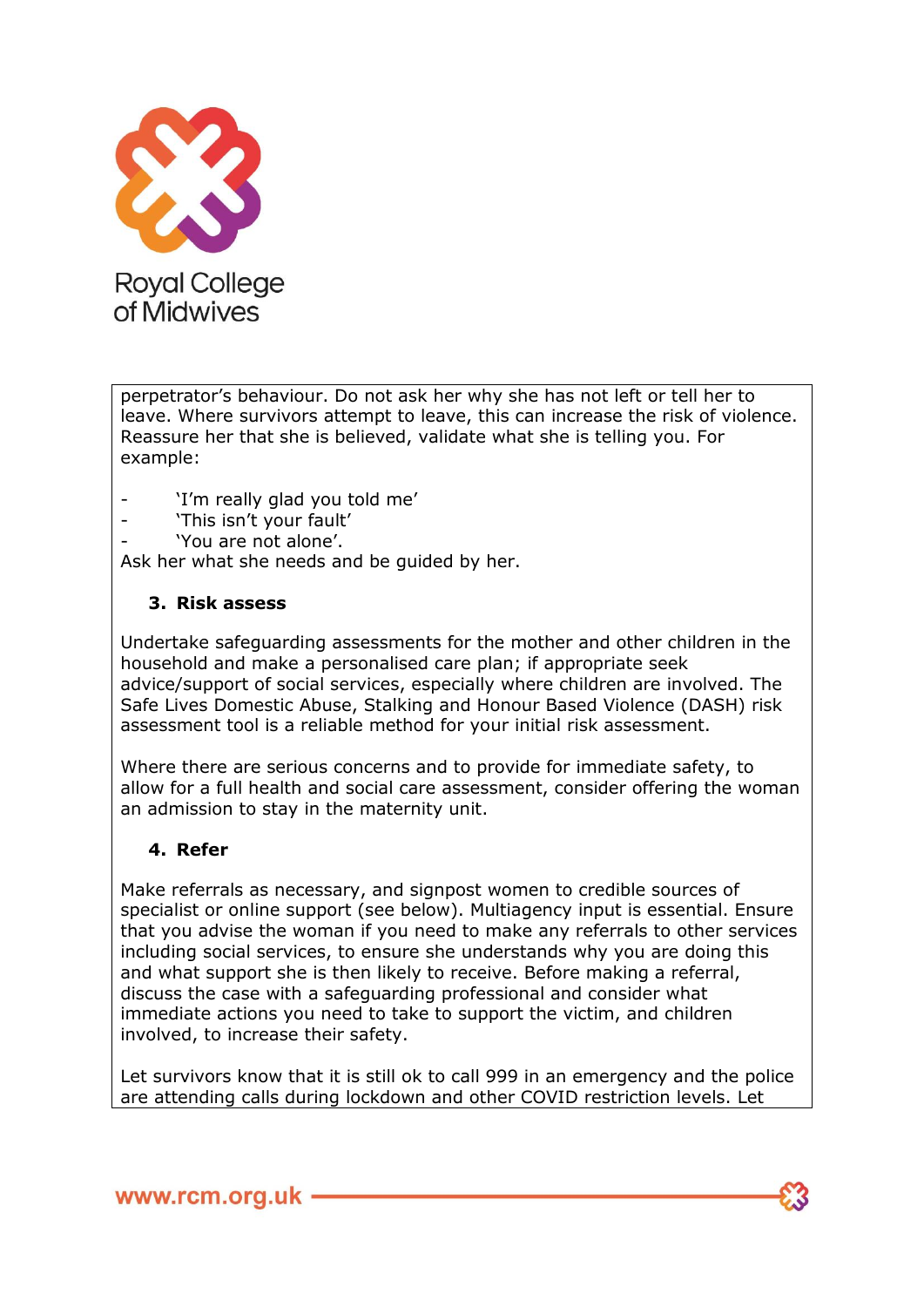

perpetrator's behaviour. Do not ask her why she has not left or tell her to leave. Where survivors attempt to leave, this can increase the risk of violence. Reassure her that she is believed, validate what she is telling you. For example:

- 'I'm really glad you told me'
- 'This isn't your fault'
- 'You are not alone'.

Ask her what she needs and be guided by her.

#### **3. Risk assess**

Undertake safeguarding assessments for the mother and other children in the household and make a personalised care plan; if appropriate seek advice/support of social services, especially where children are involved. The Safe Lives Domestic Abuse, Stalking and Honour Based Violence (DASH) risk assessment tool is a reliable method for your initial risk assessment.

Where there are serious concerns and to provide for immediate safety, to allow for a full health and social care assessment, consider offering the woman an admission to stay in the maternity unit.

## **4. Refer**

Make referrals as necessary, and signpost women to credible sources of specialist or online support (see below). Multiagency input is essential. Ensure that you advise the woman if you need to make any referrals to other services including social services, to ensure she understands why you are doing this and what support she is then likely to receive. Before making a referral, discuss the case with a safeguarding professional and consider what immediate actions you need to take to support the victim, and children involved, to increase their safety.

Let survivors know that it is still ok to call 999 in an emergency and the police are attending calls during lockdown and other COVID restriction levels. Let

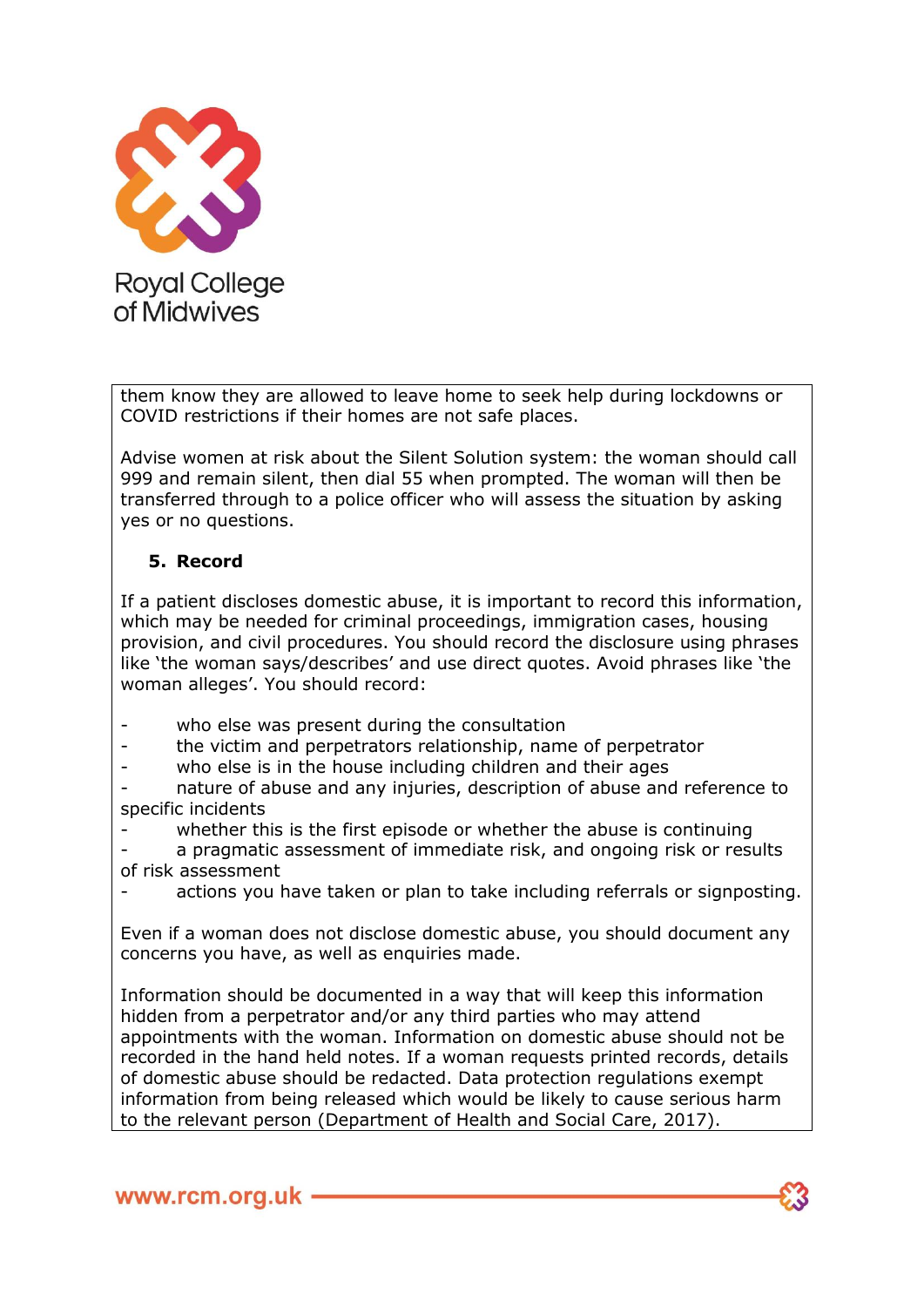

them know they are allowed to leave home to seek help during lockdowns or COVID restrictions if their homes are not safe places.

Advise women at risk about the Silent Solution system: the woman should call 999 and remain silent, then dial 55 when prompted. The woman will then be transferred through to a police officer who will assess the situation by asking yes or no questions.

## **5. Record**

If a patient discloses domestic abuse, it is important to record this information, which may be needed for criminal proceedings, immigration cases, housing provision, and civil procedures. You should record the disclosure using phrases like 'the woman says/describes' and use direct quotes. Avoid phrases like 'the woman alleges'. You should record:

- who else was present during the consultation
- the victim and perpetrators relationship, name of perpetrator
- who else is in the house including children and their ages

- nature of abuse and any injuries, description of abuse and reference to specific incidents

whether this is the first episode or whether the abuse is continuing

a pragmatic assessment of immediate risk, and ongoing risk or results of risk assessment

actions you have taken or plan to take including referrals or signposting.

Even if a woman does not disclose domestic abuse, you should document any concerns you have, as well as enquiries made.

Information should be documented in a way that will keep this information hidden from a perpetrator and/or any third parties who may attend appointments with the woman. Information on domestic abuse should not be recorded in the hand held notes. If a woman requests printed records, details of domestic abuse should be redacted. Data protection regulations exempt information from being released which would be likely to cause serious harm to the relevant person (Department of Health and Social Care, 2017).

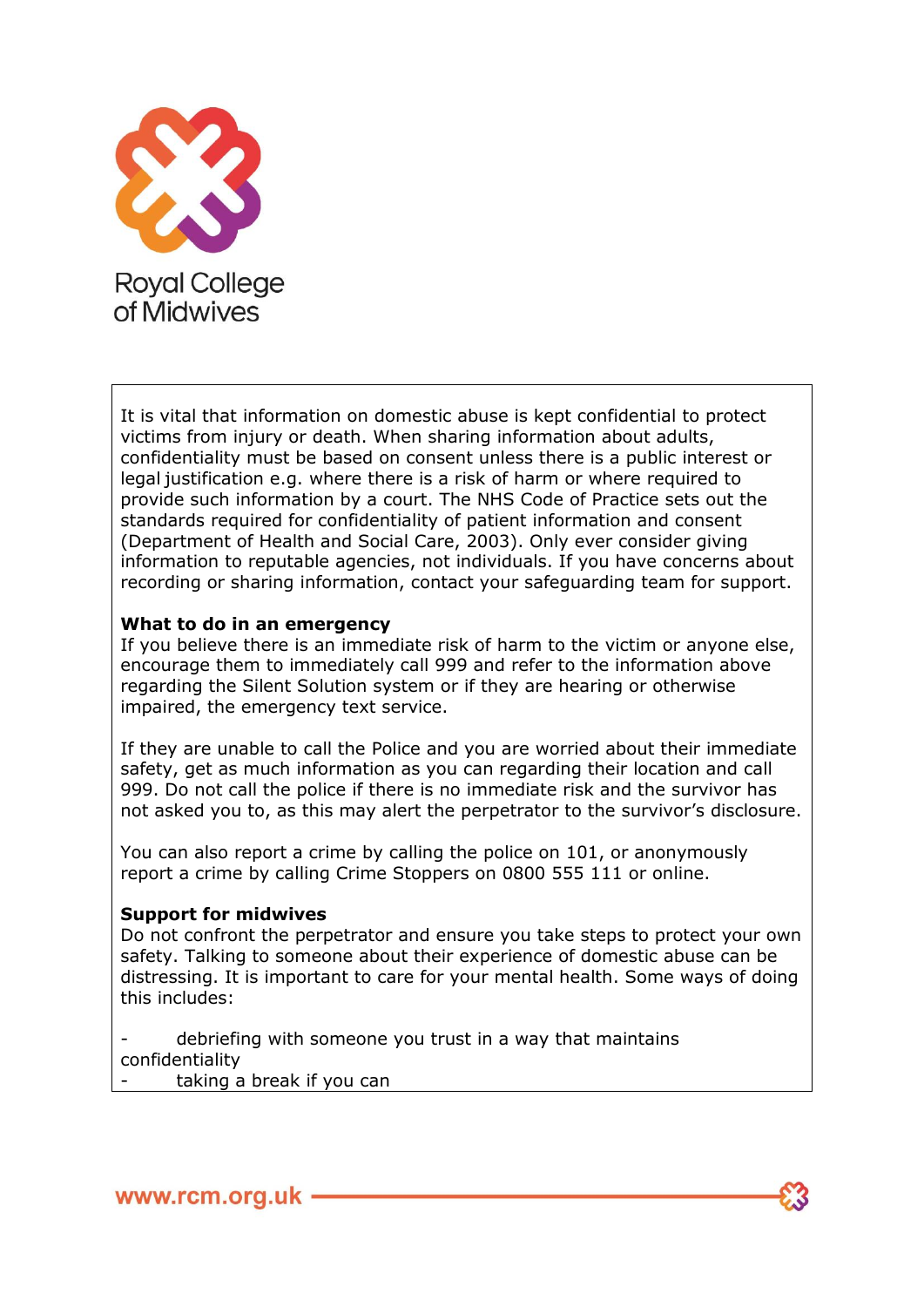

It is vital that information on domestic abuse is kept confidential to protect victims from injury or death. When sharing information about adults, confidentiality must be based on consent unless there is a public interest or legal justification e.g. where there is a risk of harm or where required to provide such information by a court. The NHS Code of Practice sets out the standards required for confidentiality of patient information and consent (Department of Health and Social Care, 2003). Only ever consider giving information to reputable agencies, not individuals. If you have concerns about recording or sharing information, contact your safeguarding team for support.

#### **What to do in an emergency**

If you believe there is an immediate risk of harm to the victim or anyone else, encourage them to immediately call 999 and refer to the information above regarding the Silent Solution system or if they are hearing or otherwise impaired, the emergency text service.

If they are unable to call the Police and you are worried about their immediate safety, get as much information as you can regarding their location and call 999. Do not call the police if there is no immediate risk and the survivor has not asked you to, as this may alert the perpetrator to the survivor's disclosure.

You can also report a crime by calling the police on 101, or anonymously report a crime by calling Crime Stoppers on 0800 555 111 or online.

#### **Support for midwives**

Do not confront the perpetrator and ensure you take steps to protect your own safety. Talking to someone about their experience of domestic abuse can be distressing. It is important to care for your mental health. Some ways of doing this includes:

debriefing with someone you trust in a way that maintains confidentiality

taking a break if you can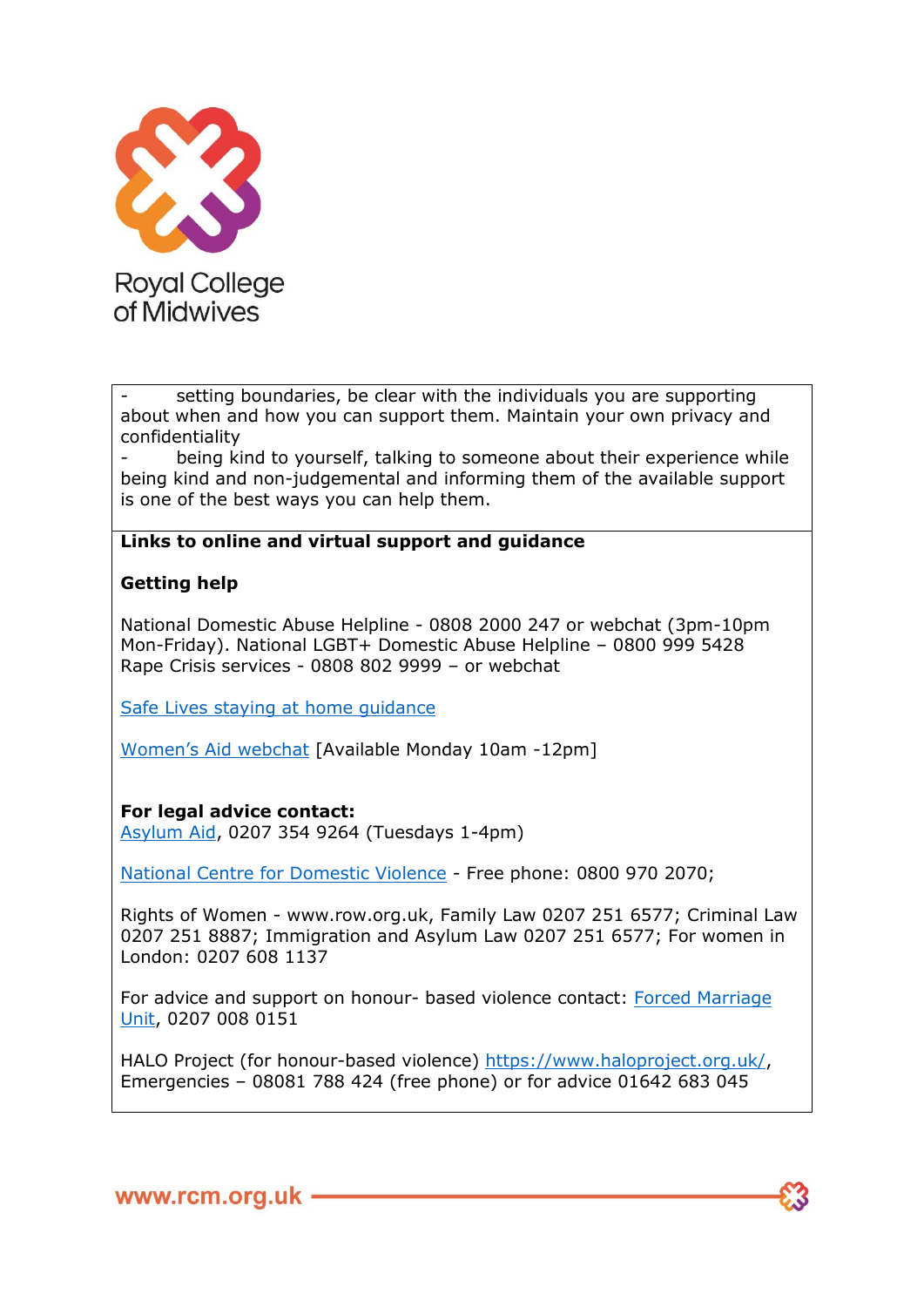

setting boundaries, be clear with the individuals you are supporting about when and how you can support them. Maintain your own privacy and confidentiality

being kind to yourself, talking to someone about their experience while being kind and non-judgemental and informing them of the available support is one of the best ways you can help them.

## **Links to online and virtual support and guidance**

#### **Getting help**

National Domestic Abuse Helpline - 0808 2000 247 or webchat (3pm-10pm Mon-Friday). National LGBT+ Domestic Abuse Helpline – 0800 999 5428 Rape Crisis services - 0808 802 9999 – or webchat

[Safe Lives staying at home guidance](https://safelives.org.uk/staying-safe-during-covid-19-guidance)

[Women's Aid webchat](https://chat.womensaid.org.uk/) [Available Monday 10am -12pm]

#### **For legal advice contact:**

[Asylum Aid,](http://www.asylumaid.org.uk/) 0207 354 9264 (Tuesdays 1-4pm)

[National Centre for Domestic Violence](http://www.ncdv.org.uk/) - Free phone: 0800 970 2070;

Rights of Women - www.row.org.uk, Family Law 0207 251 6577; Criminal Law 0207 251 8887; Immigration and Asylum Law 0207 251 6577; For women in London: 0207 608 1137

For advice and support on honour- based violence contact: [Forced Marriage](http://www.gov.uk/forced-marriage)  [Unit,](http://www.gov.uk/forced-marriage) 0207 008 0151

HALO Project (for honour-based violence) [https://www.haloproject.org.uk/,](https://www.haloproject.org.uk/) Emergencies – 08081 788 424 (free phone) or for advice 01642 683 045

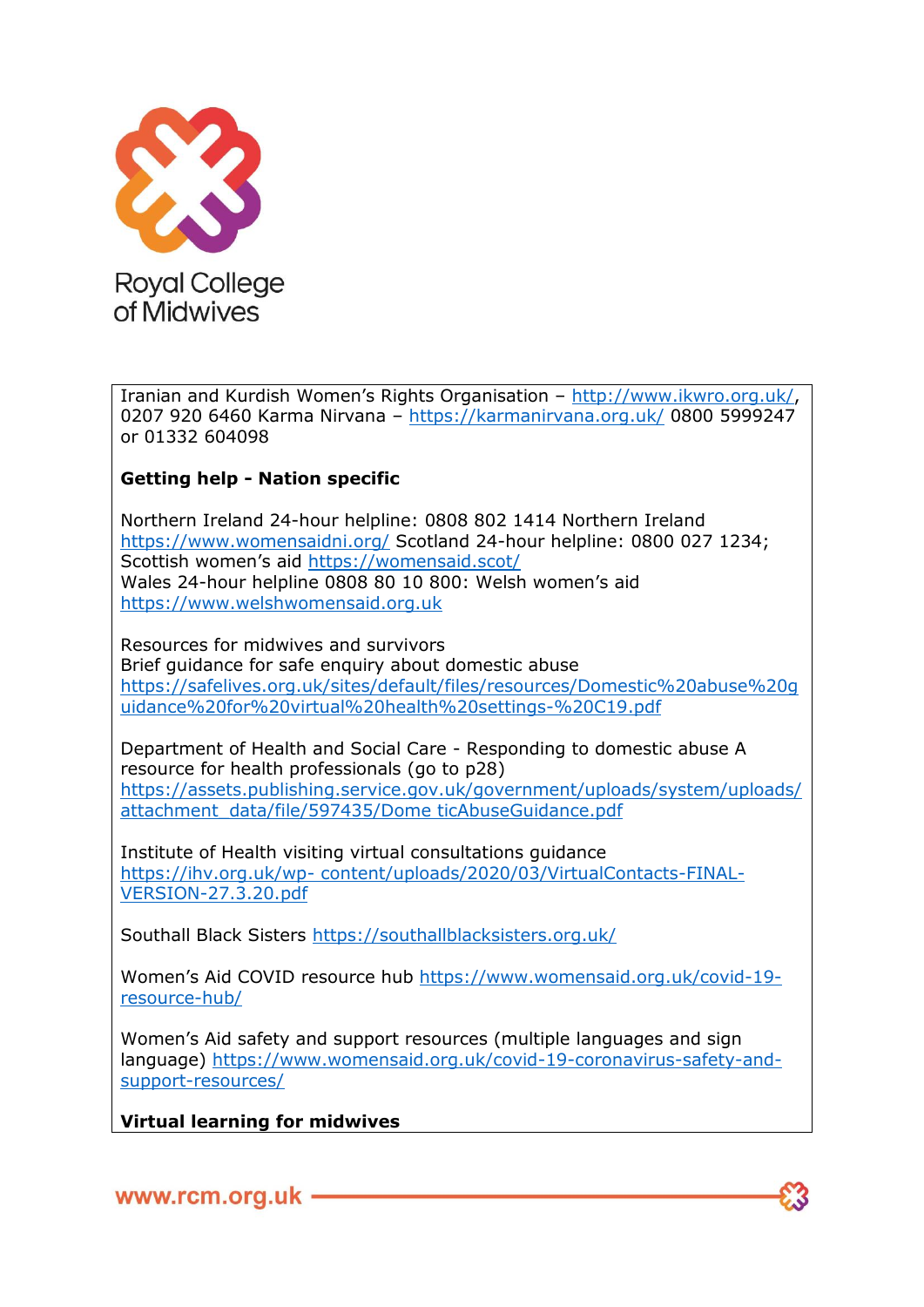

Iranian and Kurdish Women's Rights Organisation – [http://www.ikwro.org.uk/,](http://www.ikwro.org.uk/) 0207 920 6460 Karma Nirvana – <https://karmanirvana.org.uk/> 0800 5999247 or 01332 604098

## **Getting help - Nation specific**

Northern Ireland 24-hour helpline: 0808 802 1414 Northern Ireland <https://www.womensaidni.org/> Scotland 24-hour helpline: 0800 027 1234; Scottish women's aid <https://womensaid.scot/> Wales 24-hour helpline 0808 80 10 800: Welsh women's aid [https://www.welshwomensaid.org.uk](https://www.welshwomensaid.org.uk/)

Resources for midwives and survivors Brief guidance for safe enquiry about domestic abuse [https://safelives.org.uk/sites/default/files/resources/Domestic%20abuse%20g](https://safelives.org.uk/sites/default/files/resources/Domestic%20abuse%20guidance%20for%20virtual%20health%20settings-%20C19.pdf) [uidance%20for%20virtual%20health%20settings-%20C19.pdf](https://safelives.org.uk/sites/default/files/resources/Domestic%20abuse%20guidance%20for%20virtual%20health%20settings-%20C19.pdf)

Department of Health and Social Care - Responding to domestic abuse A resource for health professionals (go to p28) [https://assets.publishing.service.gov.uk/government/uploads/system/uploads/](https://assets.publishing.service.gov.uk/government/uploads/system/uploads/attachment_data/file/597435/Dome%20ticAbuseGuidance.pdf) [attachment\\_data/file/597435/Dome ticAbuseGuidance.pdf](https://assets.publishing.service.gov.uk/government/uploads/system/uploads/attachment_data/file/597435/Dome%20ticAbuseGuidance.pdf)

Institute of Health visiting virtual consultations guidance https://ihv.org.uk/wp- [content/uploads/2020/03/VirtualContacts-FINAL-](https://ihv.org.uk/wp-%20content/uploads/2020/03/VirtualContacts-FINAL-VERSION-27.3.20.pdf)[VERSION-27.3.20.pdf](https://ihv.org.uk/wp-%20content/uploads/2020/03/VirtualContacts-FINAL-VERSION-27.3.20.pdf)

Southall Black Sisters<https://southallblacksisters.org.uk/>

Women's Aid COVID resource hub [https://www.womensaid.org.uk/covid-19](https://www.womensaid.org.uk/covid-19-resource-hub/) [resource-hub/](https://www.womensaid.org.uk/covid-19-resource-hub/)

Women's Aid safety and support resources (multiple languages and sign language) [https://www.womensaid.org.uk/covid-19-coronavirus-safety-and](https://www.womensaid.org.uk/covid-19-coronavirus-safety-and-support-resources/)[support-resources/](https://www.womensaid.org.uk/covid-19-coronavirus-safety-and-support-resources/)

**Virtual learning for midwives**

www.rcm.org.uk -

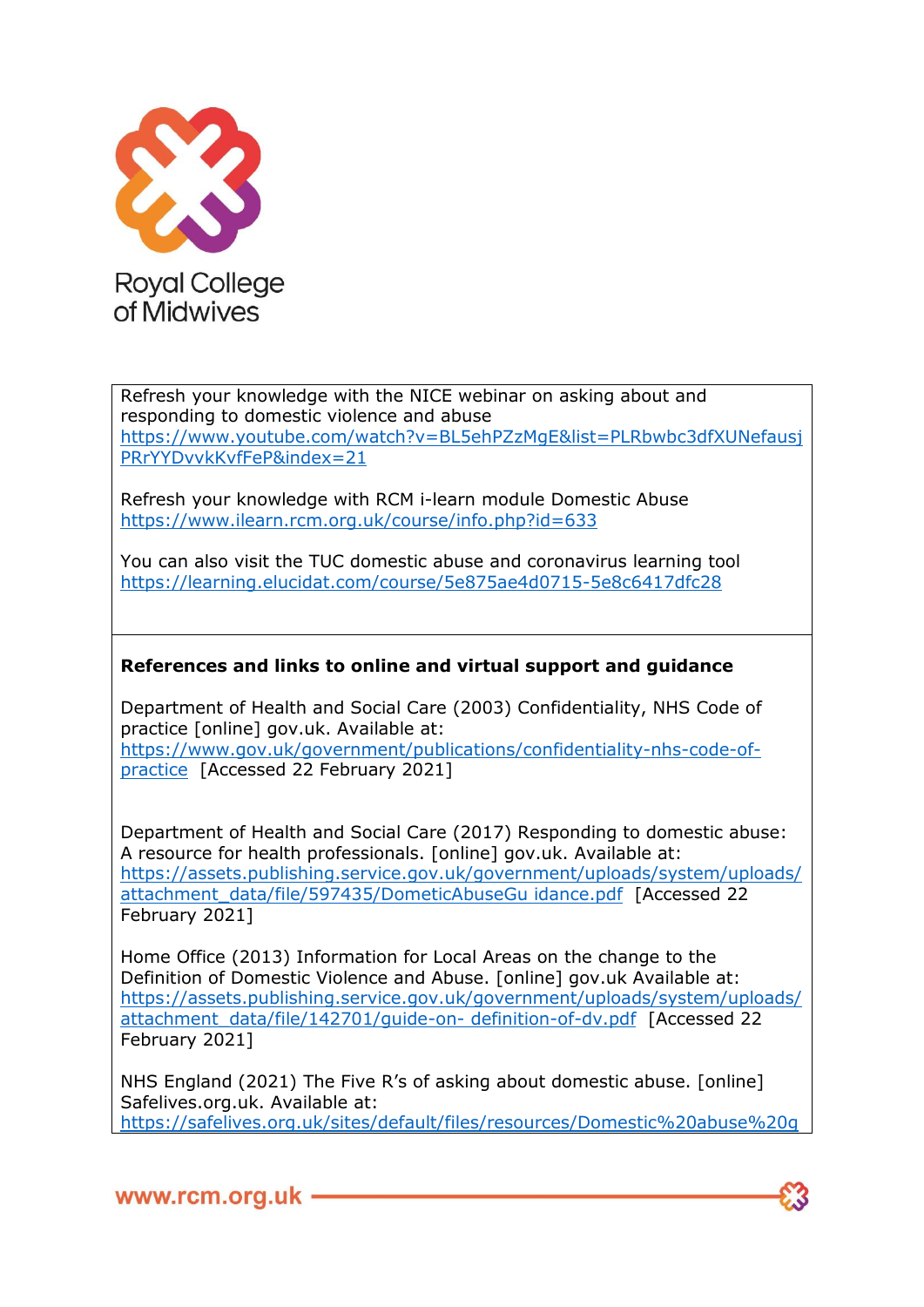

Refresh your knowledge with the NICE webinar on asking about and responding to domestic violence and abuse [https://www.youtube.com/watch?v=BL5ehPZzMgE&list=PLRbwbc3dfXUNefausj](https://www.youtube.com/watch?v=BL5ehPZzMgE&list=PLRbwbc3dfXUNefausjPRrYYDvvkKvfFeP&index=21) [PRrYYDvvkKvfFeP&index=21](https://www.youtube.com/watch?v=BL5ehPZzMgE&list=PLRbwbc3dfXUNefausjPRrYYDvvkKvfFeP&index=21)

Refresh your knowledge with RCM i-learn module Domestic Abuse <https://www.ilearn.rcm.org.uk/course/info.php?id=633>

You can also visit the TUC domestic abuse and coronavirus learning tool <https://learning.elucidat.com/course/5e875ae4d0715-5e8c6417dfc28>

## **References and links to online and virtual support and guidance**

Department of Health and Social Care (2003) Confidentiality, NHS Code of practice [online] gov.uk. Available at: [https://www.gov.uk/government/publications/confidentiality-nhs-code-of](https://www.gov.uk/government/publications/confidentiality-nhs-code-of-practice)[practice](https://www.gov.uk/government/publications/confidentiality-nhs-code-of-practice) [Accessed 22 February 2021]

Department of Health and Social Care (2017) Responding to domestic abuse: A resource for health professionals. [online] gov.uk. Available at: [https://assets.publishing.service.gov.uk/government/uploads/system/uploads/](https://assets.publishing.service.gov.uk/government/uploads/system/uploads/attachment_data/file/597435/DometicAbuseGu%20idance.pdf) [attachment\\_data/file/597435/DometicAbuseGu idance.pdf](https://assets.publishing.service.gov.uk/government/uploads/system/uploads/attachment_data/file/597435/DometicAbuseGu%20idance.pdf) [Accessed 22 February 2021]

Home Office (2013) Information for Local Areas on the change to the Definition of Domestic Violence and Abuse. [online] gov.uk Available at: [https://assets.publishing.service.gov.uk/government/uploads/system/uploads/](https://assets.publishing.service.gov.uk/government/uploads/system/uploads/attachment_data/file/142701/guide-on-%20definition-of-dv.pdf) [attachment\\_data/file/142701/guide-on-](https://assets.publishing.service.gov.uk/government/uploads/system/uploads/attachment_data/file/142701/guide-on-%20definition-of-dv.pdf) definition-of-dv.pdf [Accessed 22 February 2021]

NHS England (2021) The Five R's of asking about domestic abuse. [online] Safelives.org.uk. Available at: [https://safelives.org.uk/sites/default/files/resources/Domestic%20abuse%20g](https://safelives.org.uk/sites/default/files/resources/Domestic%20abuse%20guidance%20for%20virtual%20health%20settings-%20C19.pdf)